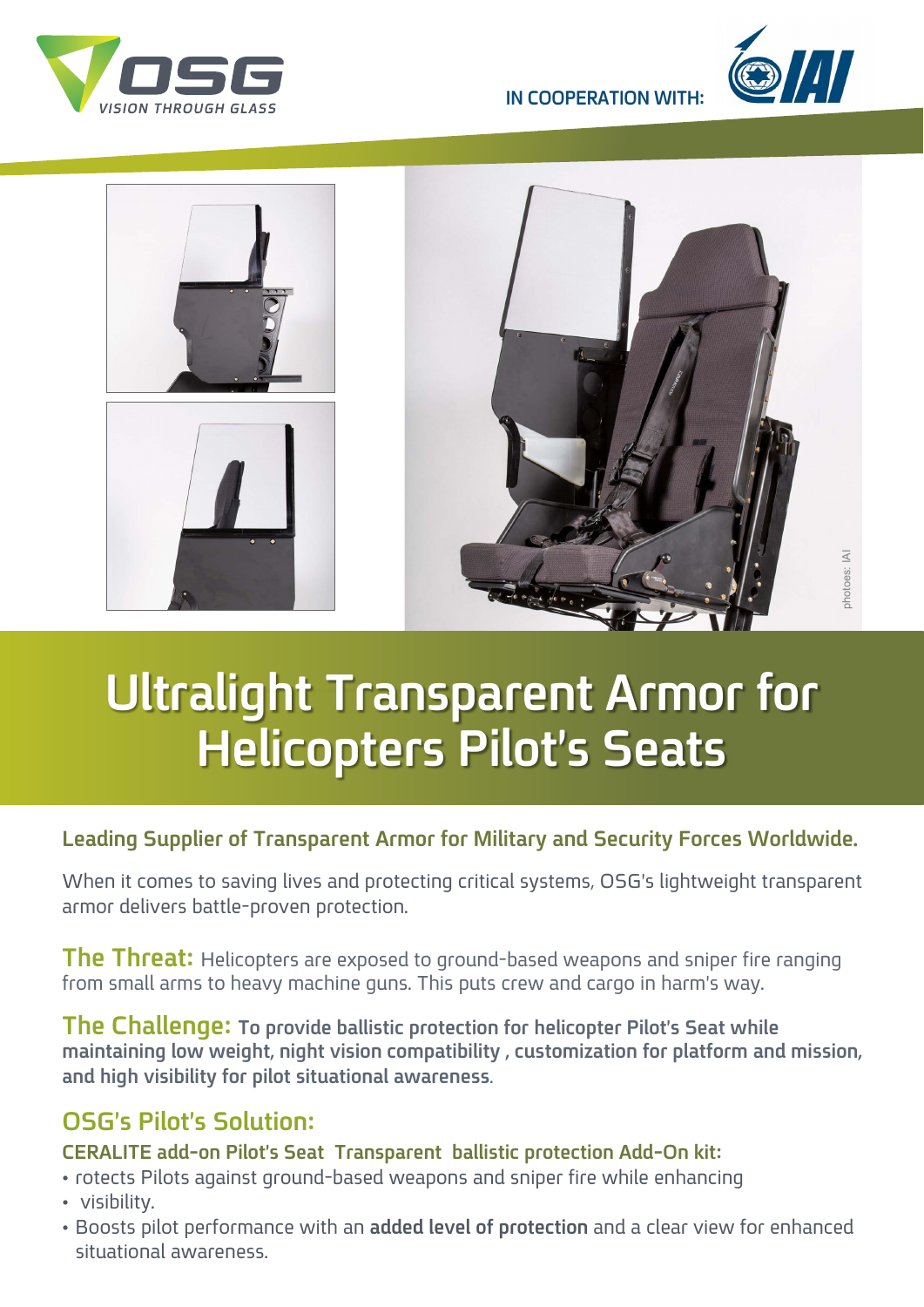



**IN COOPERATION WITH:** 



# **Ultralight Transparent Armor for Helicopters Pilot's Seats**

### **Leading Supplier of Transparent Armor for Military and Security Forces Worldwide.**

When it comes to saving lives and protecting critical systems, OSG's lightweight transparent armor delivers battle-proven protection.

**The Threat:** Helicopters are exposed to ground-based weapons and sniper fire ranging from small arms to heavy machine guns. This puts crew and cargo in harm's way.

**The Challenge: To provide ballistic protection for helicopter Pilot's Seat while** maintaining low weight, night vision compatibility, customization for platform and mission, and high visibility for pilot situational awareness.

## **0SG's Pilot's Solution:**

#### **CERALITE add-on Pilot's Seat Transparent ballistic protection Add-On kit:**

- rotects Pilots against ground-based weapons and sniper fire while enhancing
- visibility.
- Boosts pilot performance with an added level of protection and a clear view for enhanced situational awareness.